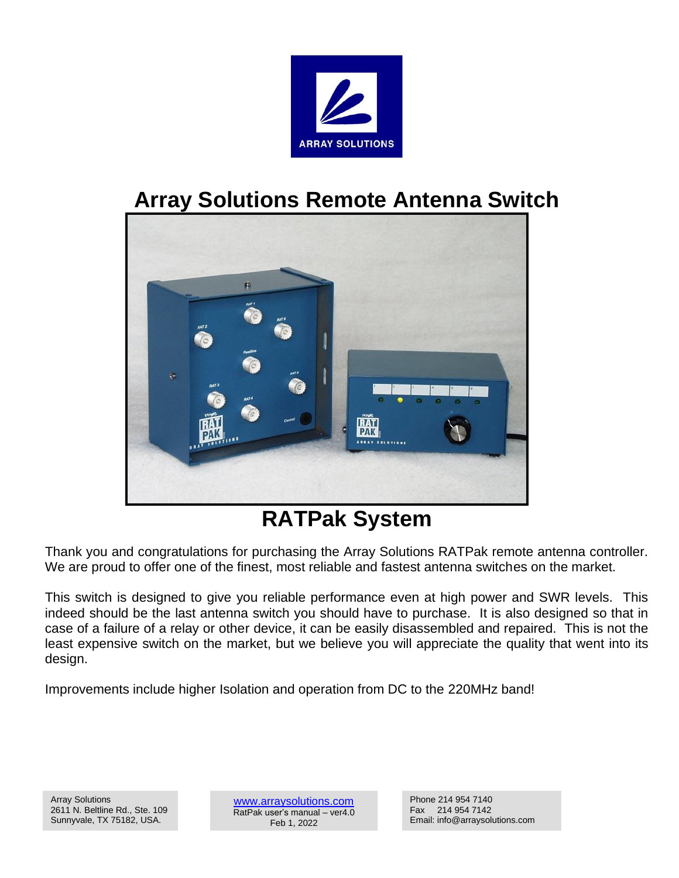

# **Array Solutions Remote Antenna Switch**



# **RATPak System**

Thank you and congratulations for purchasing the Array Solutions RATPak remote antenna controller. We are proud to offer one of the finest, most reliable and fastest antenna switches on the market.

This switch is designed to give you reliable performance even at high power and SWR levels. This indeed should be the last antenna switch you should have to purchase. It is also designed so that in case of a failure of a relay or other device, it can be easily disassembled and repaired. This is not the least expensive switch on the market, but we believe you will appreciate the quality that went into its design.

Improvements include higher Isolation and operation from DC to the 220MHz band!

[www.arraysolutions.com](http://www.arraysolutions.com/) RatPak user's manual – ver4.0 Feb 1, 2022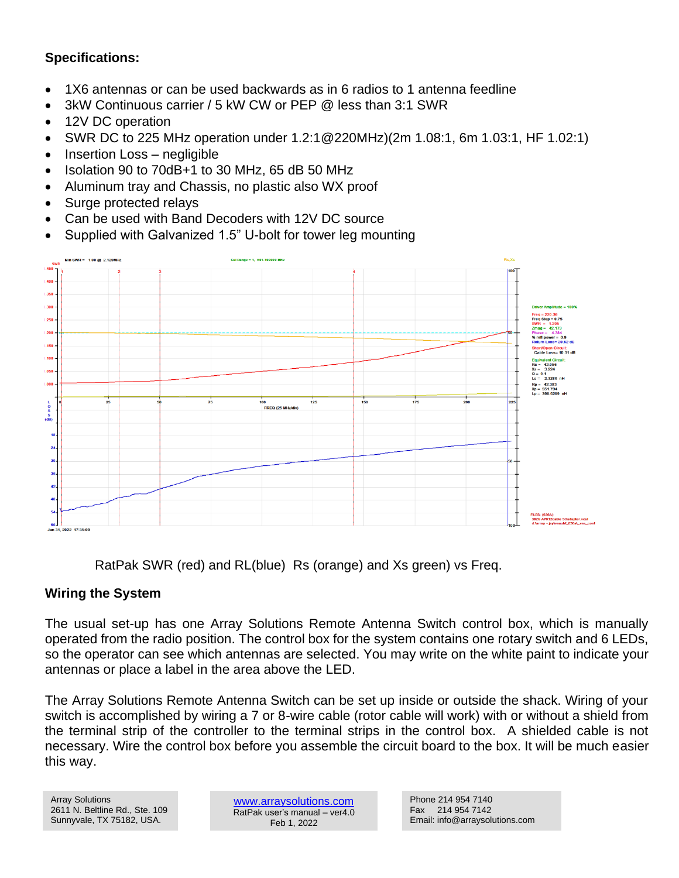## **Specifications:**

- 1X6 antennas or can be used backwards as in 6 radios to 1 antenna feedline
- 3kW Continuous carrier / 5 kW CW or PEP @ less than 3:1 SWR
- 12V DC operation
- SWR DC to 225 MHz operation under 1.2:1@220MHz)(2m 1.08:1, 6m 1.03:1, HF 1.02:1)
- Insertion Loss negligible
- Isolation 90 to 70dB+1 to 30 MHz, 65 dB 50 MHz
- Aluminum tray and Chassis, no plastic also WX proof
- Surge protected relays
- Can be used with Band Decoders with 12V DC source
- Supplied with Galvanized 1.5" U-bolt for tower leg mounting



RatPak SWR (red) and RL(blue) Rs (orange) and Xs green) vs Freq.

## **Wiring the System**

The usual set-up has one Array Solutions Remote Antenna Switch control box, which is manually operated from the radio position. The control box for the system contains one rotary switch and 6 LEDs, so the operator can see which antennas are selected. You may write on the white paint to indicate your antennas or place a label in the area above the LED.

The Array Solutions Remote Antenna Switch can be set up inside or outside the shack. Wiring of your switch is accomplished by wiring a 7 or 8-wire cable (rotor cable will work) with or without a shield from the terminal strip of the controller to the terminal strips in the control box. A shielded cable is not necessary. Wire the control box before you assemble the circuit board to the box. It will be much easier this way.

Array Solutions 2611 N. Beltline Rd., Ste. 109 Sunnyvale, TX 75182, USA.

[www.arraysolutions.com](http://www.arraysolutions.com/) RatPak user's manual – ver4.0 Feb 1, 2022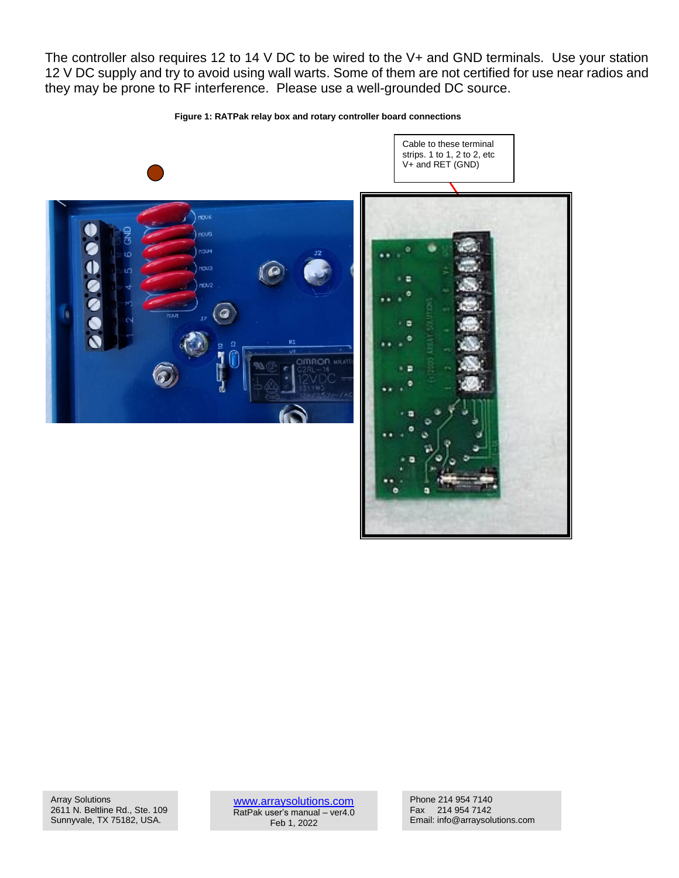The controller also requires 12 to 14 V DC to be wired to the V+ and GND terminals. Use your station 12 V DC supply and try to avoid using wall warts. Some of them are not certified for use near radios and they may be prone to RF interference. Please use a well-grounded DC source.

**Figure 1: RATPak relay box and rotary controller board connections**





Cable to these terminal

Array Solutions 2611 N. Beltline Rd., Ste. 109 Sunnyvale, TX 75182, USA.

[www.arraysolutions.com](http://www.arraysolutions.com/) RatPak user's manual – ver4.0 Feb 1, 2022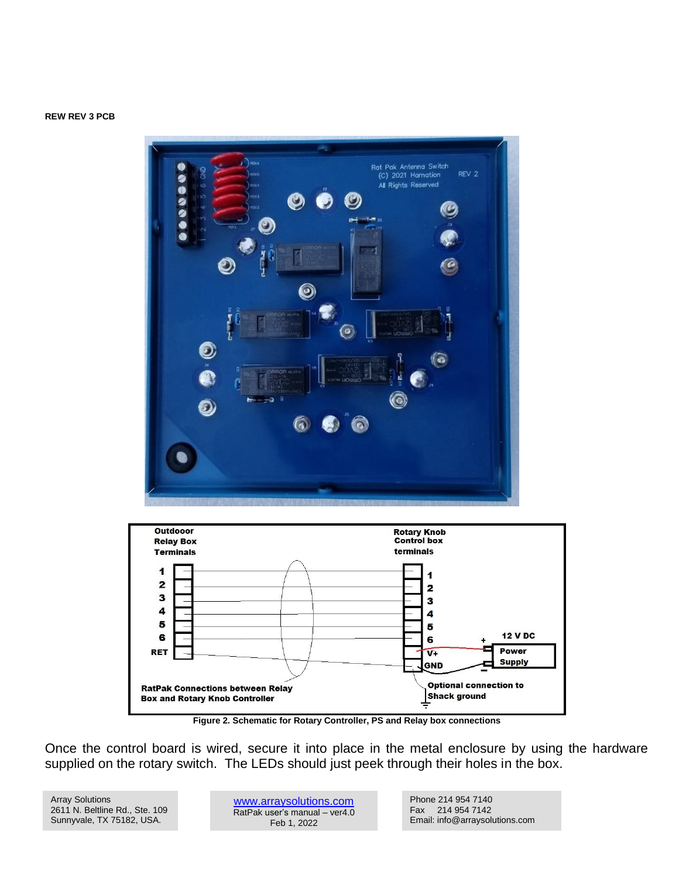#### **REW REV 3 PCB**





**Figure 2. Schematic for Rotary Controller, PS and Relay box connections**

Once the control board is wired, secure it into place in the metal enclosure by using the hardware supplied on the rotary switch. The LEDs should just peek through their holes in the box.

Array Solutions 2611 N. Beltline Rd., Ste. 109 Sunnyvale, TX 75182, USA.

[www.arraysolutions.com](http://www.arraysolutions.com/) RatPak user's manual – ver4.0 Feb 1, 2022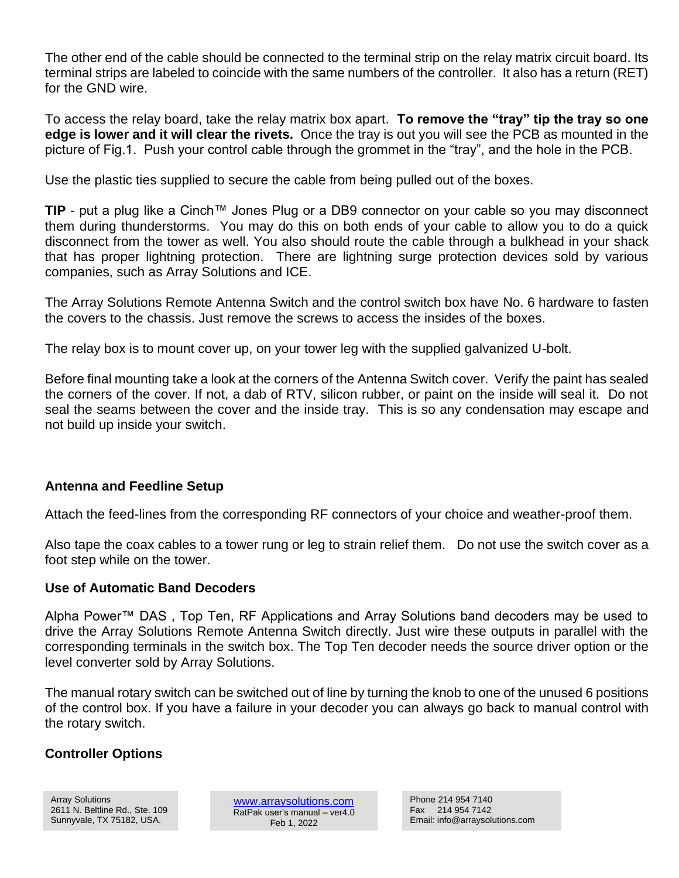The other end of the cable should be connected to the terminal strip on the relay matrix circuit board. Its terminal strips are labeled to coincide with the same numbers of the controller. It also has a return (RET) for the GND wire.

To access the relay board, take the relay matrix box apart. **To remove the "tray" tip the tray so one edge is lower and it will clear the rivets.** Once the tray is out you will see the PCB as mounted in the picture of Fig.1. Push your control cable through the grommet in the "tray", and the hole in the PCB.

Use the plastic ties supplied to secure the cable from being pulled out of the boxes.

**TIP** - put a plug like a Cinch™ Jones Plug or a DB9 connector on your cable so you may disconnect them during thunderstorms. You may do this on both ends of your cable to allow you to do a quick disconnect from the tower as well. You also should route the cable through a bulkhead in your shack that has proper lightning protection. There are lightning surge protection devices sold by various companies, such as Array Solutions and ICE.

The Array Solutions Remote Antenna Switch and the control switch box have No. 6 hardware to fasten the covers to the chassis. Just remove the screws to access the insides of the boxes.

The relay box is to mount cover up, on your tower leg with the supplied galvanized U-bolt.

Before final mounting take a look at the corners of the Antenna Switch cover. Verify the paint has sealed the corners of the cover. If not, a dab of RTV, silicon rubber, or paint on the inside will seal it. Do not seal the seams between the cover and the inside tray. This is so any condensation may escape and not build up inside your switch.

## **Antenna and Feedline Setup**

Attach the feed-lines from the corresponding RF connectors of your choice and weather-proof them.

Also tape the coax cables to a tower rung or leg to strain relief them. Do not use the switch cover as a foot step while on the tower.

### **Use of Automatic Band Decoders**

Alpha Power™ DAS , Top Ten, RF Applications and Array Solutions band decoders may be used to drive the Array Solutions Remote Antenna Switch directly. Just wire these outputs in parallel with the corresponding terminals in the switch box. The Top Ten decoder needs the source driver option or the level converter sold by Array Solutions.

The manual rotary switch can be switched out of line by turning the knob to one of the unused 6 positions of the control box. If you have a failure in your decoder you can always go back to manual control with the rotary switch.

## **Controller Options**

[www.arraysolutions.com](http://www.arraysolutions.com/) RatPak user's manual – ver4.0 Feb 1, 2022